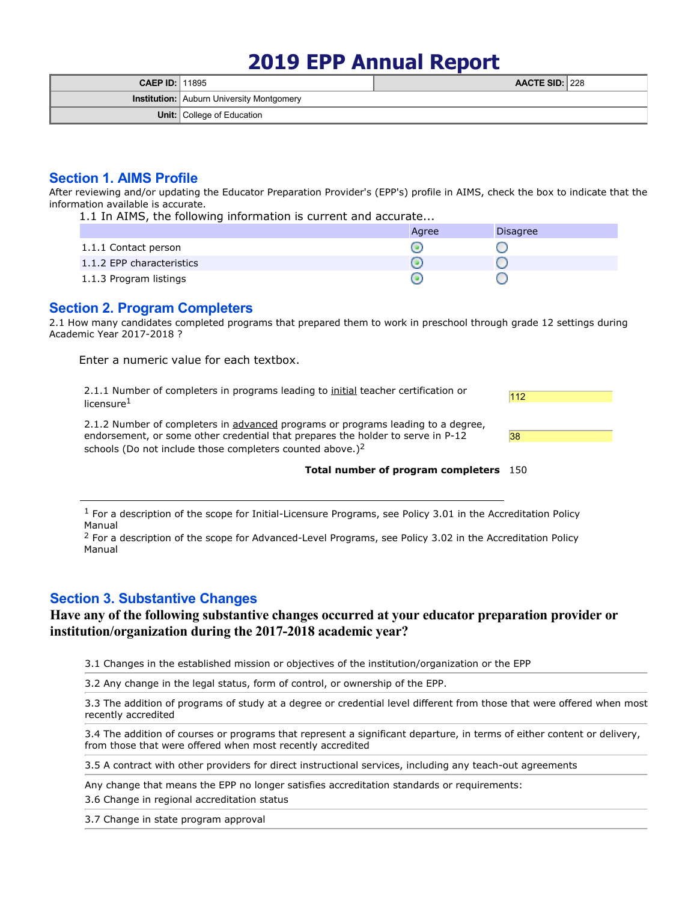# **2019 EPP Annual Report**

| <b>CAEP ID: 11895</b> |                                                  | AACTE SID: 228 |  |
|-----------------------|--------------------------------------------------|----------------|--|
|                       | <b>Institution:</b> Auburn University Montgomery |                |  |
|                       | <b>Unit:</b> College of Education                |                |  |

# **Section 1. AIMS Profile**

After reviewing and/or updating the Educator Preparation Provider's (EPP's) profile in AIMS, check the box to indicate that the information available is accurate.

1.1 In AIMS, the following information is current and accurate...

|                           | Agree | <b>Disagree</b> |
|---------------------------|-------|-----------------|
| 1.1.1 Contact person      |       |                 |
| 1.1.2 EPP characteristics |       |                 |
| 1.1.3 Program listings    |       |                 |

# **Section 2. Program Completers**

2.1 How many candidates completed programs that prepared them to work in preschool through grade 12 settings during Academic Year 2017-2018 ?

Enter a numeric value for each textbox.

2.1.1 Number of completers in programs leading to initial teacher certification or licensure<sup>1</sup>

2.1.2 Number of completers in advanced programs or programs leading to a degree, endorsement, or some other credential that prepares the holder to serve in P-12 schools (Do not include those completers counted above.) $<sup>2</sup>$ </sup>

| 38 |  |  |  |
|----|--|--|--|
|    |  |  |  |

112

#### **Total number of program completers** 150

 $1$  For a description of the scope for Initial-Licensure Programs, see Policy 3.01 in the Accreditation Policy Manual

<sup>2</sup> For a description of the scope for Advanced-Level Programs, see Policy 3.02 in the Accreditation Policy Manual

## **Section 3. Substantive Changes**

# **Have any of the following substantive changes occurred at your educator preparation provider or institution/organization during the 2017-2018 academic year?**

3.1 Changes in the established mission or objectives of the institution/organization or the EPP

3.2 Any change in the legal status, form of control, or ownership of the EPP.

3.3 The addition of programs of study at a degree or credential level different from those that were offered when most recently accredited

3.4 The addition of courses or programs that represent a significant departure, in terms of either content or delivery, from those that were offered when most recently accredited

3.5 A contract with other providers for direct instructional services, including any teach-out agreements

Any change that means the EPP no longer satisfies accreditation standards or requirements:

3.6 Change in regional accreditation status

3.7 Change in state program approval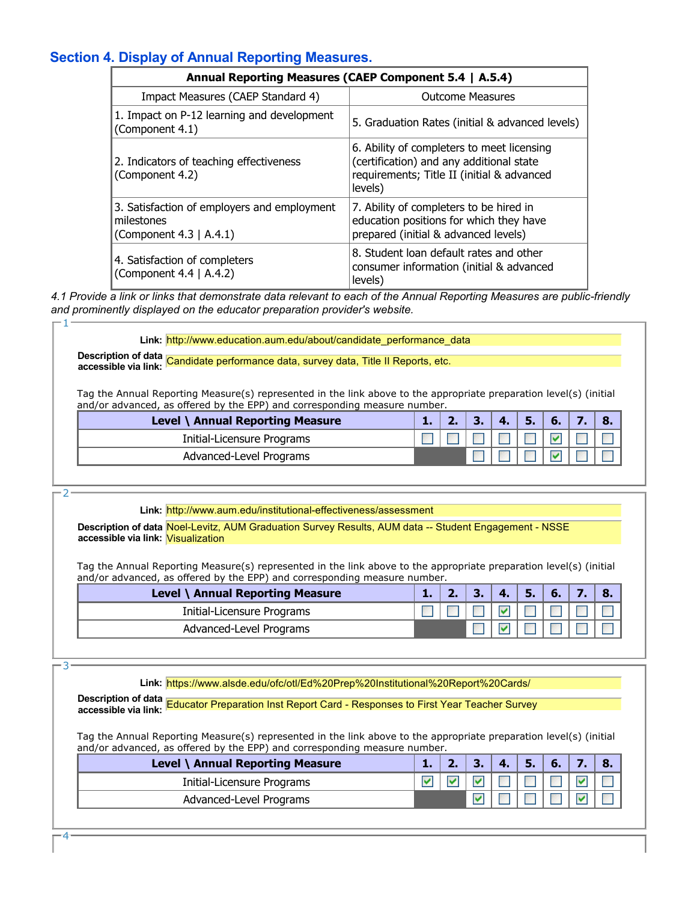# **Section 4. Display of Annual Reporting Measures.**

|                                                                                      | Annual Reporting Measures (CAEP Component 5.4   A.5.4)                                                                                          |
|--------------------------------------------------------------------------------------|-------------------------------------------------------------------------------------------------------------------------------------------------|
| Impact Measures (CAEP Standard 4)                                                    | <b>Outcome Measures</b>                                                                                                                         |
| 1. Impact on P-12 learning and development<br>(Component 4.1)                        | 5. Graduation Rates (initial & advanced levels)                                                                                                 |
| 2. Indicators of teaching effectiveness<br>(Component 4.2)                           | 6. Ability of completers to meet licensing<br>(certification) and any additional state<br>requirements; Title II (initial & advanced<br>levels) |
| 3. Satisfaction of employers and employment<br>milestones<br>(Component 4.3   A.4.1) | 7. Ability of completers to be hired in<br>education positions for which they have<br>prepared (initial & advanced levels)                      |
| 4. Satisfaction of completers<br>(Component 4.4   A.4.2)                             | 8. Student loan default rates and other<br>consumer information (initial & advanced<br>levels)                                                  |

*4.1 Provide a link or links that demonstrate data relevant to each of the Annual Reporting Measures are public-friendly and prominently displayed on the educator preparation provider's website.* 1

Link: http://www.education.aum.edu/about/candidate\_performance\_data

**Description of data accessible via link:** Candidate performance data, survey data, Title II Reports, etc.

Tag the Annual Reporting Measure(s) represented in the link above to the appropriate preparation level(s) (initial and/or advanced, as offered by the EPP) and corresponding measure number.

| Level \ Annual Reporting Measure |  |  | 6. |  |
|----------------------------------|--|--|----|--|
| Initial-Licensure Programs       |  |  |    |  |
| Advanced-Level Programs          |  |  |    |  |

2

3

**Link:** http://www.aum.edu/institutional-effectiveness/assessment

**Description of data** Noel-Levitz, AUM Graduation Survey Results, AUM data -- Student Engagement - NSSE **accessible via link:** Visualization

Tag the Annual Reporting Measure(s) represented in the link above to the appropriate preparation level(s) (initial and/or advanced, as offered by the EPP) and corresponding measure number.

| Level \ Annual Reporting Measure |  | 4. | 6. |  |
|----------------------------------|--|----|----|--|
| Initial-Licensure Programs       |  |    |    |  |
| Advanced-Level Programs          |  |    |    |  |

**Link:** https://www.alsde.edu/ofc/otl/Ed%20Prep%20Institutional%20Report%20Cards/

**Description of data accessible via link:** Educator Preparation Inst Report Card - Responses to First Year Teacher Survey

Tag the Annual Reporting Measure(s) represented in the link above to the appropriate preparation level(s) (initial and/or advanced, as offered by the EPP) and corresponding measure number.

| Level \ Annual Reporting Measure |  |  | 6. |  |
|----------------------------------|--|--|----|--|
| Initial-Licensure Programs       |  |  |    |  |
| Advanced-Level Programs          |  |  |    |  |

4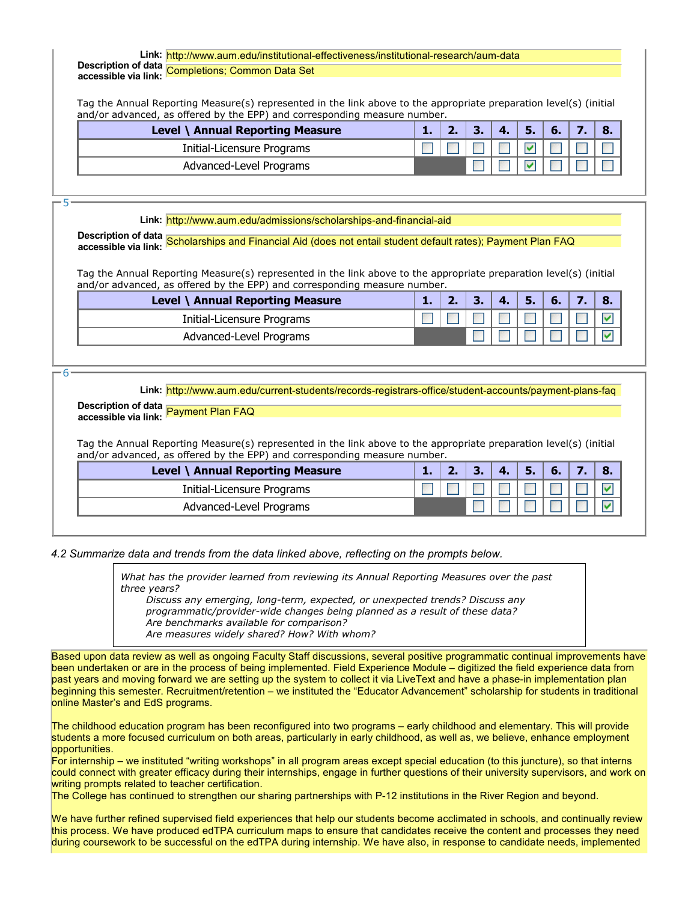# **Link:** http://www.aum.edu/institutional-effectiveness/institutional-research/aum-data **Description of data accessible via link:** Completions; Common Data Set

Tag the Annual Reporting Measure(s) represented in the link above to the appropriate preparation level(s) (initial and/or advanced, as offered by the EPP) and corresponding measure number.

| Level \ Annual Reporting Measure |  |  | ъ. | 6. | $\mathbf{8}$ |
|----------------------------------|--|--|----|----|--------------|
| Initial-Licensure Programs       |  |  |    |    |              |
| Advanced-Level Programs          |  |  |    |    |              |

5

#### **Link:** http://www.aum.edu/admissions/scholarships-and-financial-aid

**Description of data accessible via link:** Scholarships and Financial Aid (does not entail student default rates); Payment Plan FAQ

Tag the Annual Reporting Measure(s) represented in the link above to the appropriate preparation level(s) (initial and/or advanced, as offered by the EPP) and corresponding measure number.

| Level \ Annual Reporting Measure | <b>ALC</b> |  | 4. | 6. |  |
|----------------------------------|------------|--|----|----|--|
| Initial-Licensure Programs       |            |  |    |    |  |
| Advanced-Level Programs          |            |  |    |    |  |

6

**Link:** http://www.aum.edu/current-students/records-registrars-office/student-accounts/payment-plans-faq

# **Description of data accessible via link:** Payment Plan FAQ

Tag the Annual Reporting Measure(s) represented in the link above to the appropriate preparation level(s) (initial and/or advanced, as offered by the EPP) and corresponding measure number.

| Level \ Annual Reporting Measure |  |  | ъ. | 6. |  |
|----------------------------------|--|--|----|----|--|
| Initial-Licensure Programs       |  |  |    |    |  |
| Advanced-Level Programs          |  |  |    |    |  |

*4.2 Summarize data and trends from the data linked above, reflecting on the prompts below.*

*What has the provider learned from reviewing its Annual Reporting Measures over the past three years?*

*Discuss any emerging, long-term, expected, or unexpected trends? Discuss any programmatic/provider-wide changes being planned as a result of these data? Are benchmarks available for comparison? Are measures widely shared? How? With whom?*

Based upon data review as well as ongoing Faculty Staff discussions, several positive programmatic continual improvements have been undertaken or are in the process of being implemented. Field Experience Module – digitized the field experience data from past years and moving forward we are setting up the system to collect it via LiveText and have a phase-in implementation plan beginning this semester. Recruitment/retention – we instituted the "Educator Advancement" scholarship for students in traditional online Master's and EdS programs.

The childhood education program has been reconfigured into two programs – early childhood and elementary. This will provide students a more focused curriculum on both areas, particularly in early childhood, as well as, we believe, enhance employment opportunities.

For internship – we instituted "writing workshops" in all program areas except special education (to this juncture), so that interns could connect with greater efficacy during their internships, engage in further questions of their university supervisors, and work on writing prompts related to teacher certification.

The College has continued to strengthen our sharing partnerships with P-12 institutions in the River Region and beyond.

We have further refined supervised field experiences that help our students become acclimated in schools, and continually review this process. We have produced edTPA curriculum maps to ensure that candidates receive the content and processes they need during coursework to be successful on the edTPA during internship. We have also, in response to candidate needs, implemented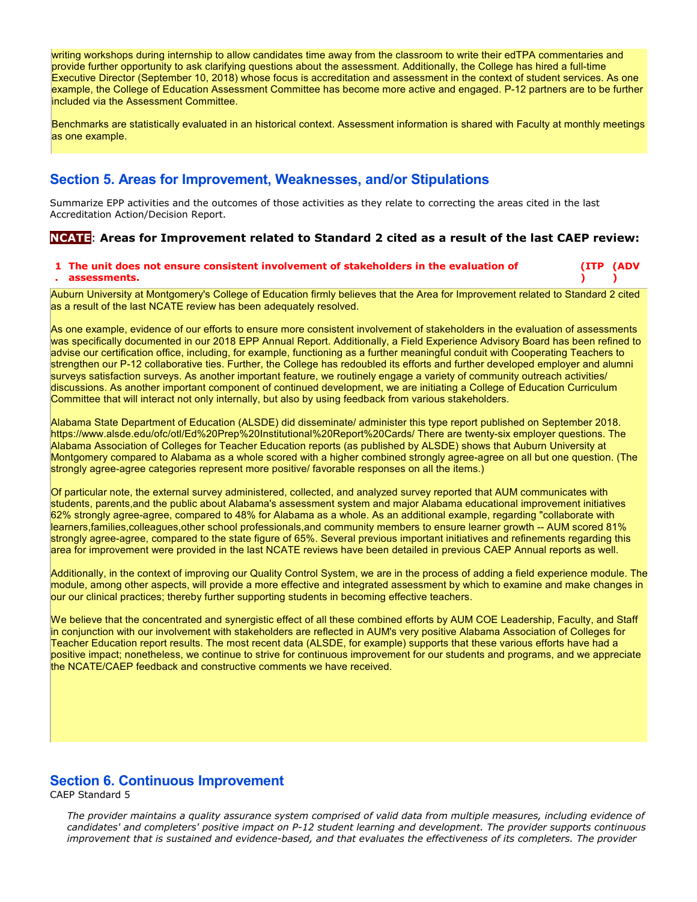writing workshops during internship to allow candidates time away from the classroom to write their edTPA commentaries and provide further opportunity to ask clarifying questions about the assessment. Additionally, the College has hired a full-time Executive Director (September 10, 2018) whose focus is accreditation and assessment in the context of student services. As one example, the College of Education Assessment Committee has become more active and engaged. P-12 partners are to be further included via the Assessment Committee.

Benchmarks are statistically evaluated in an historical context. Assessment information is shared with Faculty at monthly meetings as one example.

# **Section 5. Areas for Improvement, Weaknesses, and/or Stipulations**

Summarize EPP activities and the outcomes of those activities as they relate to correcting the areas cited in the last Accreditation Action/Decision Report.

### **NCATE**: **Areas for Improvement related to Standard 2 cited as a result of the last CAEP review:**

#### **1 The unit does not ensure consistent involvement of stakeholders in the evaluation of . assessments. (ITP (ADV ) )**

Auburn University at Montgomery's College of Education firmly believes that the Area for Improvement related to Standard 2 cited as a result of the last NCATE review has been adequately resolved.

As one example, evidence of our efforts to ensure more consistent involvement of stakeholders in the evaluation of assessments was specifically documented in our 2018 EPP Annual Report. Additionally, a Field Experience Advisory Board has been refined to advise our certification office, including, for example, functioning as a further meaningful conduit with Cooperating Teachers to strengthen our P-12 collaborative ties. Further, the College has redoubled its efforts and further developed employer and alumni surveys satisfaction surveys. As another important feature, we routinely engage a variety of community outreach activities/ discussions. As another important component of continued development, we are initiating a College of Education Curriculum Committee that will interact not only internally, but also by using feedback from various stakeholders.

Alabama State Department of Education (ALSDE) did disseminate/ administer this type report published on September 2018. https://www.alsde.edu/ofc/otl/Ed%20Prep%20Institutional%20Report%20Cards/ There are twenty-six employer questions. The Alabama Association of Colleges for Teacher Education reports (as published by ALSDE) shows that Auburn University at Montgomery compared to Alabama as a whole scored with a higher combined strongly agree-agree on all but one question. (The strongly agree-agree categories represent more positive/ favorable responses on all the items.)

Of particular note, the external survey administered, collected, and analyzed survey reported that AUM communicates with students, parents,and the public about Alabama's assessment system and major Alabama educational improvement initiatives 62% strongly agree-agree, compared to 48% for Alabama as a whole. As an additional example, regarding "collaborate with learners,families,colleagues,other school professionals,and community members to ensure learner growth -- AUM scored 81% strongly agree-agree, compared to the state figure of 65%. Several previous important initiatives and refinements regarding this area for improvement were provided in the last NCATE reviews have been detailed in previous CAEP Annual reports as well.

Additionally, in the context of improving our Quality Control System, we are in the process of adding a field experience module. The module, among other aspects, will provide a more effective and integrated assessment by which to examine and make changes in our our clinical practices; thereby further supporting students in becoming effective teachers.

We believe that the concentrated and synergistic effect of all these combined efforts by AUM COE Leadership, Faculty, and Staff in conjunction with our involvement with stakeholders are reflected in AUM's very positive Alabama Association of Colleges for Teacher Education report results. The most recent data (ALSDE, for example) supports that these various efforts have had a positive impact; nonetheless, we continue to strive for continuous improvement for our students and programs, and we appreciate the NCATE/CAEP feedback and constructive comments we have received.

### **Section 6. Continuous Improvement**

CAEP Standard 5

*The provider maintains a quality assurance system comprised of valid data from multiple measures, including evidence of candidates' and completers' positive impact on P-12 student learning and development. The provider supports continuous improvement that is sustained and evidence-based, and that evaluates the effectiveness of its completers. The provider*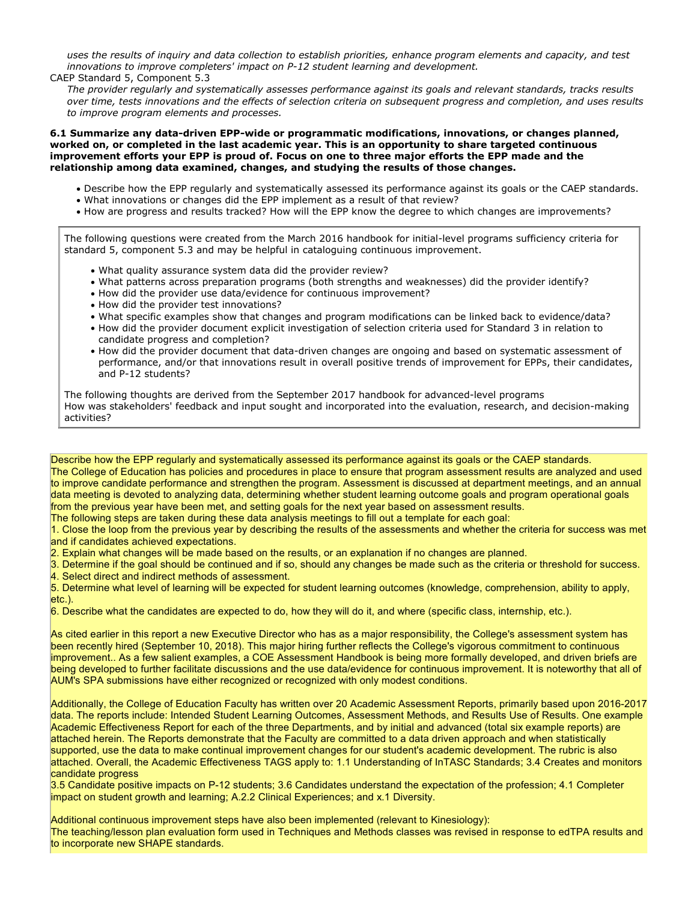*uses the results of inquiry and data collection to establish priorities, enhance program elements and capacity, and test innovations to improve completers' impact on P-12 student learning and development.*

#### CAEP Standard 5, Component 5.3

*The provider regularly and systematically assesses performance against its goals and relevant standards, tracks results over time, tests innovations and the effects of selection criteria on subsequent progress and completion, and uses results to improve program elements and processes.*

**6.1 Summarize any data-driven EPP-wide or programmatic modifications, innovations, or changes planned, worked on, or completed in the last academic year. This is an opportunity to share targeted continuous improvement efforts your EPP is proud of. Focus on one to three major efforts the EPP made and the relationship among data examined, changes, and studying the results of those changes.**

- Describe how the EPP regularly and systematically assessed its performance against its goals or the CAEP standards.
- What innovations or changes did the EPP implement as a result of that review?
- How are progress and results tracked? How will the EPP know the degree to which changes are improvements?

The following questions were created from the March 2016 handbook for initial-level programs sufficiency criteria for standard 5, component 5.3 and may be helpful in cataloguing continuous improvement.

- What quality assurance system data did the provider review?
- What patterns across preparation programs (both strengths and weaknesses) did the provider identify?
- $\bullet$  How did the provider use data/evidence for continuous improvement?
- How did the provider test innovations?
- What specific examples show that changes and program modifications can be linked back to evidence/data?
- How did the provider document explicit investigation of selection criteria used for Standard 3 in relation to candidate progress and completion?
- How did the provider document that data-driven changes are ongoing and based on systematic assessment of performance, and/or that innovations result in overall positive trends of improvement for EPPs, their candidates, and P-12 students?

The following thoughts are derived from the September 2017 handbook for advanced-level programs How was stakeholders' feedback and input sought and incorporated into the evaluation, research, and decision-making activities?

Describe how the EPP regularly and systematically assessed its performance against its goals or the CAEP standards. The College of Education has policies and procedures in place to ensure that program assessment results are analyzed and used to improve candidate performance and strengthen the program. Assessment is discussed at department meetings, and an annual data meeting is devoted to analyzing data, determining whether student learning outcome goals and program operational goals from the previous year have been met, and setting goals for the next year based on assessment results. The following steps are taken during these data analysis meetings to fill out a template for each goal:

1. Close the loop from the previous year by describing the results of the assessments and whether the criteria for success was met and if candidates achieved expectations.

2. Explain what changes will be made based on the results, or an explanation if no changes are planned.

3. Determine if the goal should be continued and if so, should any changes be made such as the criteria or threshold for success. 4. Select direct and indirect methods of assessment.

5. Determine what level of learning will be expected for student learning outcomes (knowledge, comprehension, ability to apply, etc.).

6. Describe what the candidates are expected to do, how they will do it, and where (specific class, internship, etc.).

As cited earlier in this report a new Executive Director who has as a major responsibility, the College's assessment system has been recently hired (September 10, 2018). This major hiring further reflects the College's vigorous commitment to continuous improvement.. As a few salient examples, a COE Assessment Handbook is being more formally developed, and driven briefs are being developed to further facilitate discussions and the use data/evidence for continuous improvement. It is noteworthy that all of AUM's SPA submissions have either recognized or recognized with only modest conditions.

Additionally, the College of Education Faculty has written over 20 Academic Assessment Reports, primarily based upon 2016-2017 data. The reports include: Intended Student Learning Outcomes, Assessment Methods, and Results Use of Results. One example Academic Effectiveness Report for each of the three Departments, and by initial and advanced (total six example reports) are attached herein. The Reports demonstrate that the Faculty are committed to a data driven approach and when statistically supported, use the data to make continual improvement changes for our student's academic development. The rubric is also attached. Overall, the Academic Effectiveness TAGS apply to: 1.1 Understanding of InTASC Standards; 3.4 Creates and monitors candidate progress

3.5 Candidate positive impacts on P-12 students; 3.6 Candidates understand the expectation of the profession; 4.1 Completer impact on student growth and learning; A.2.2 Clinical Experiences; and x.1 Diversity.

Additional continuous improvement steps have also been implemented (relevant to Kinesiology): The teaching/lesson plan evaluation form used in Techniques and Methods classes was revised in response to edTPA results and to incorporate new SHAPE standards.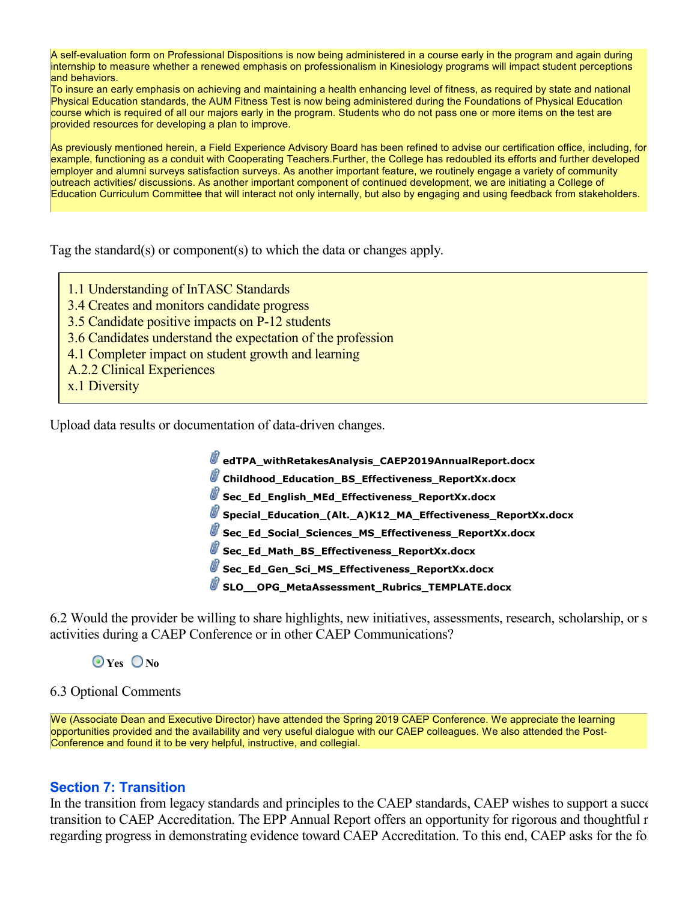A self-evaluation form on Professional Dispositions is now being administered in a course early in the program and again during internship to measure whether a renewed emphasis on professionalism in Kinesiology programs will impact student perceptions and behaviors.

To insure an early emphasis on achieving and maintaining a health enhancing level of fitness, as required by state and national Physical Education standards, the AUM Fitness Test is now being administered during the Foundations of Physical Education course which is required of all our majors early in the program. Students who do not pass one or more items on the test are provided resources for developing a plan to improve.

As previously mentioned herein, a Field Experience Advisory Board has been refined to advise our certification office, including, for example, functioning as a conduit with Cooperating Teachers.Further, the College has redoubled its efforts and further developed employer and alumni surveys satisfaction surveys. As another important feature, we routinely engage a variety of community outreach activities/ discussions. As another important component of continued development, we are initiating a College of Education Curriculum Committee that will interact not only internally, but also by engaging and using feedback from stakeholders.

Tag the standard(s) or component(s) to which the data or changes apply.

- 1.1 Understanding of InTASC Standards
- 3.4 Creates and monitors candidate progress
- 3.5 Candidate positive impacts on P-12 students
- 3.6 Candidates understand the expectation of the profession
- 4.1 Completer impact on student growth and learning
- A.2.2 Clinical Experiences
- x.1 Diversity

Upload data results or documentation of data-driven changes.

 **edTPA\_withRetakesAnalysis\_CAEP2019AnnualReport.docx**

 **Childhood\_Education\_BS\_Effectiveness\_ReportXx.docx**

**Sec\_Ed\_English\_MEd\_Effectiveness\_ReportXx.docx** 

 **Special\_Education\_(Alt.\_A)K12\_MA\_Effectiveness\_ReportXx.docx**

 **Sec\_Ed\_Social\_Sciences\_MS\_Effectiveness\_ReportXx.docx**

 **Sec\_Ed\_Math\_BS\_Effectiveness\_ReportXx.docx**

 **Sec\_Ed\_Gen\_Sci\_MS\_Effectiveness\_ReportXx.docx**

 **SLO\_\_OPG\_MetaAssessment\_Rubrics\_TEMPLATE.docx**

6.2 Would the provider be willing to share highlights, new initiatives, assessments, research, scholarship, or s activities during a CAEP Conference or in other CAEP Communications?

 **Yes No**

## 6.3 Optional Comments

We (Associate Dean and Executive Director) have attended the Spring 2019 CAEP Conference. We appreciate the learning opportunities provided and the availability and very useful dialogue with our CAEP colleagues. We also attended the Post-Conference and found it to be very helpful, instructive, and collegial.

# **Section 7: Transition**

In the transition from legacy standards and principles to the CAEP standards, CAEP wishes to support a successful transition to CAEP Accreditation. The EPP Annual Report offers an opportunity for rigorous and thoughtful r regarding progress in demonstrating evidence toward CAEP Accreditation. To this end, CAEP asks for the following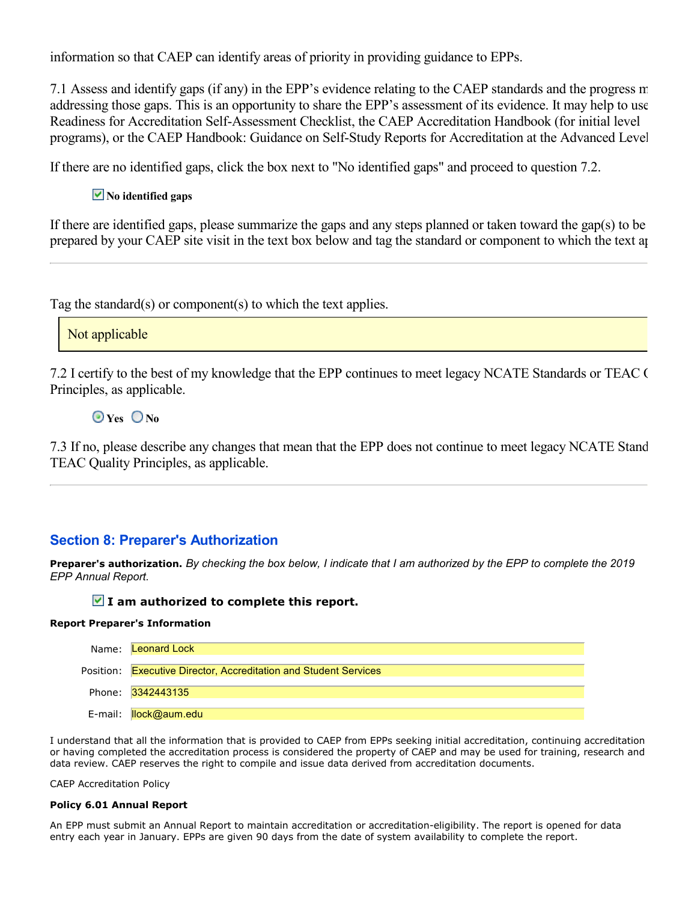information so that CAEP can identify areas of priority in providing guidance to EPPs.

7.1 Assess and identify gaps (if any) in the EPP's evidence relating to the CAEP standards and the progress  $\pi$ addressing those gaps. This is an opportunity to share the EPP's assessment of its evidence. It may help to use Readiness for Accreditation Self-Assessment Checklist, the CAEP Accreditation Handbook (for initial level programs), or the CAEP Handbook: Guidance on Self-Study Reports for Accreditation at the Advanced Level.

If there are no identified gaps, click the box next to "No identified gaps" and proceed to question 7.2.

# $\overline{\phantom{a}}$  No identified gaps

If there are identified gaps, please summarize the gaps and any steps planned or taken toward the gap(s) to be prepared by your CAEP site visit in the text box below and tag the standard or component to which the text applies.

Tag the standard(s) or component(s) to which the text applies.

Not applicable

7.2 I certify to the best of my knowledge that the EPP continues to meet legacy NCATE Standards or TEAC ( Principles, as applicable.

 **Yes No**

7.3 If no, please describe any changes that mean that the EPP does not continue to meet legacy NCATE Stand TEAC Quality Principles, as applicable.

# **Section 8: Preparer's Authorization**

**Preparer's authorization.** *By checking the box below, I indicate that I am authorized by the EPP to complete the 2019 EPP Annual Report.*

### **I am authorized to complete this report.**

#### **Report Preparer's Information**

| Name: <b>Leonard Lock</b>                                        |
|------------------------------------------------------------------|
| Position: Executive Director, Accreditation and Student Services |
| Phone: 3342443135                                                |
| E-mail: <mark>Ilock@aum.edu</mark>                               |

I understand that all the information that is provided to CAEP from EPPs seeking initial accreditation, continuing accreditation or having completed the accreditation process is considered the property of CAEP and may be used for training, research and data review. CAEP reserves the right to compile and issue data derived from accreditation documents.

CAEP Accreditation Policy

#### **Policy 6.01 Annual Report**

An EPP must submit an Annual Report to maintain accreditation or accreditation-eligibility. The report is opened for data entry each year in January. EPPs are given 90 days from the date of system availability to complete the report.